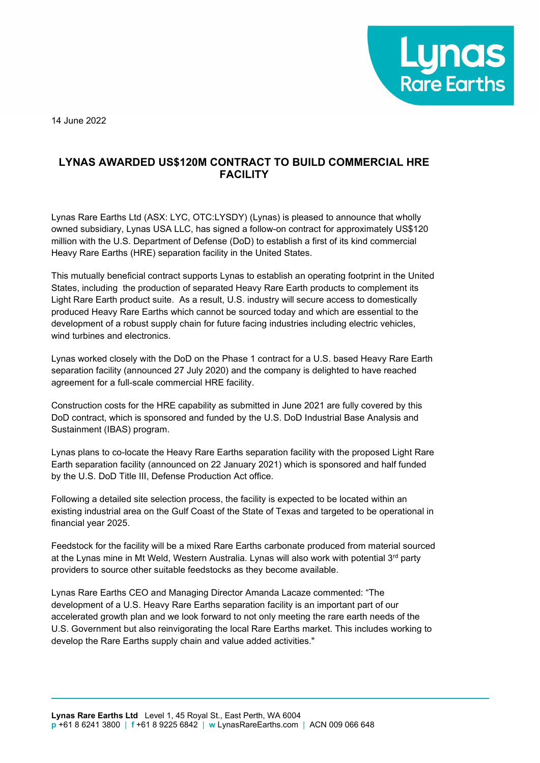

14 June 2022

## **LYNAS AWARDED US\$120M CONTRACT TO BUILD COMMERCIAL HRE FACILITY**

Lynas Rare Earths Ltd (ASX: LYC, OTC:LYSDY) (Lynas) is pleased to announce that wholly owned subsidiary, Lynas USA LLC, has signed a follow-on contract for approximately US\$120 million with the U.S. Department of Defense (DoD) to establish a first of its kind commercial Heavy Rare Earths (HRE) separation facility in the United States.

This mutually beneficial contract supports Lynas to establish an operating footprint in the United States, including the production of separated Heavy Rare Earth products to complement its Light Rare Earth product suite. As a result, U.S. industry will secure access to domestically produced Heavy Rare Earths which cannot be sourced today and which are essential to the development of a robust supply chain for future facing industries including electric vehicles, wind turbines and electronics.

Lynas worked closely with the DoD on the Phase 1 contract for a U.S. based Heavy Rare Earth separation facility (announced 27 July 2020) and the company is delighted to have reached agreement for a full-scale commercial HRE facility.

Construction costs for the HRE capability as submitted in June 2021 are fully covered by this DoD contract, which is sponsored and funded by the U.S. DoD Industrial Base Analysis and Sustainment (IBAS) program.

Lynas plans to co-locate the Heavy Rare Earths separation facility with the proposed Light Rare Earth separation facility (announced on 22 January 2021) which is sponsored and half funded by the U.S. DoD Title III, Defense Production Act office.

Following a detailed site selection process, the facility is expected to be located within an existing industrial area on the Gulf Coast of the State of Texas and targeted to be operational in financial year 2025.

Feedstock for the facility will be a mixed Rare Earths carbonate produced from material sourced at the Lynas mine in Mt Weld, Western Australia. Lynas will also work with potential 3<sup>rd</sup> party providers to source other suitable feedstocks as they become available.

Lynas Rare Earths CEO and Managing Director Amanda Lacaze commented: "The development of a U.S. Heavy Rare Earths separation facility is an important part of our accelerated growth plan and we look forward to not only meeting the rare earth needs of the U.S. Government but also reinvigorating the local Rare Earths market. This includes working to develop the Rare Earths supply chain and value added activities."